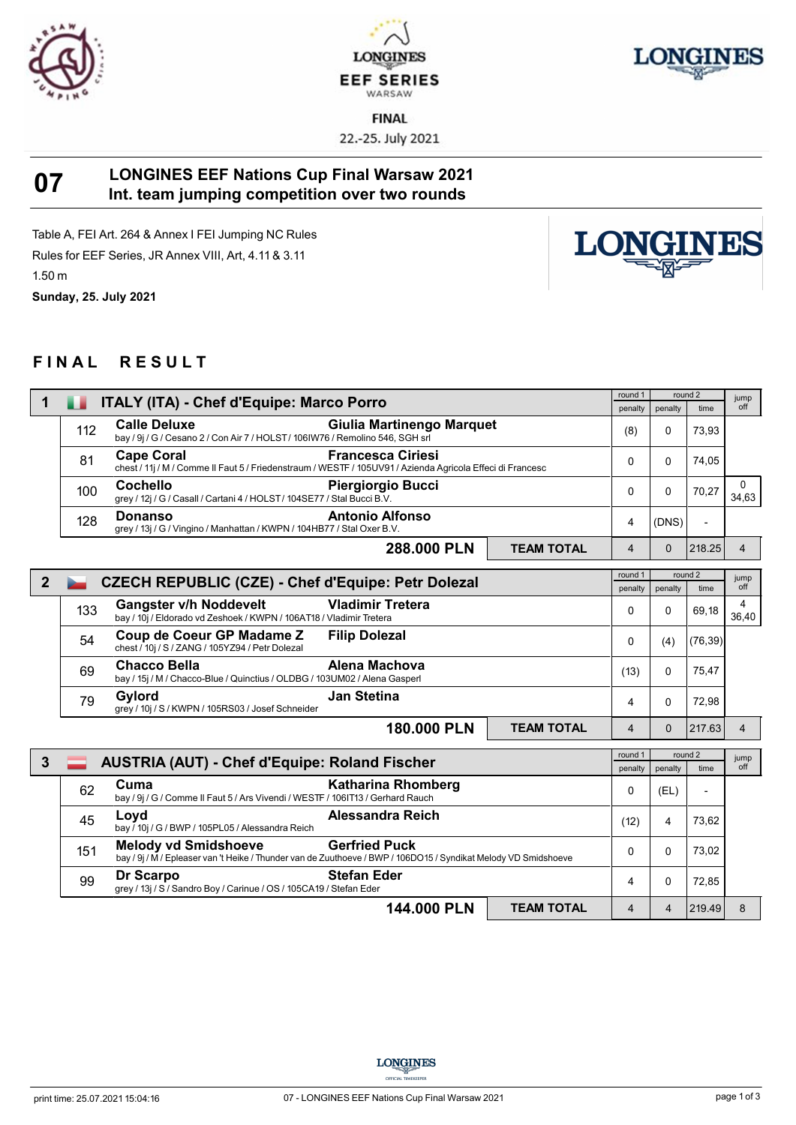





**TRS** 

 $\mathbf{L}$ 

**FINAL** 

22 .- 25. July 2021

## **07 Int. team jumping competition over two rounds LONGINES EEF Nations Cup Final Warsaw 2021**

Table A, FEI Art. 264 & Annex I FEI Jumping NC Rules Rules for EEF Series, JR Annex VIII, Art, 4.11 & 3.11 1.50 m **Sunday, 25. July 2021**

## **F I N A L R E S U L T**

|                  |     |                                                                                                                                                |                           |                   | round 1        |                | round 2        | jump              |
|------------------|-----|------------------------------------------------------------------------------------------------------------------------------------------------|---------------------------|-------------------|----------------|----------------|----------------|-------------------|
| 1                |     | <b>ITALY (ITA) - Chef d'Equipe: Marco Porro</b>                                                                                                |                           |                   | penalty        | penalty        | time           | off               |
|                  | 112 | <b>Calle Deluxe</b><br>bay / 9j / G / Cesano 2 / Con Air 7 / HOLST / 106IW76 / Remolino 546, SGH srl                                           | Giulia Martinengo Marquet |                   | (8)            | $\Omega$       | 73,93          |                   |
|                  | 81  | <b>Cape Coral</b><br>chest / 11j / M / Comme II Faut 5 / Friedenstraum / WESTF / 105UV91 / Azienda Agricola Effeci di Francesc                 | <b>Francesca Ciriesi</b>  |                   | 0              | $\Omega$       | 74,05          |                   |
|                  | 100 | <b>Cochello</b><br>grey / 12j / G / Casall / Cartani 4 / HOLST / 104SE77 / Stal Bucci B.V.                                                     | Piergiorgio Bucci         |                   | $\Omega$       | 0              | 70,27          | $\Omega$<br>34,63 |
|                  | 128 | <b>Donanso</b><br>qrey / 13j / G / Vingino / Manhattan / KWPN / 104HB77 / Stal Oxer B.V.                                                       | <b>Antonio Alfonso</b>    |                   | 4              | (DNS)          | $\overline{a}$ |                   |
|                  |     |                                                                                                                                                | 288.000 PLN               | <b>TEAM TOTAL</b> | $\overline{4}$ | $\mathbf{0}$   | 218.25         | $\overline{4}$    |
|                  |     |                                                                                                                                                |                           |                   | round 1        |                | round 2        |                   |
| $\boldsymbol{2}$ |     | <b>CZECH REPUBLIC (CZE) - Chef d'Equipe: Petr Dolezal</b>                                                                                      |                           |                   | penalty        | penalty        | time           | jump<br>off       |
|                  | 133 | <b>Gangster v/h Noddevelt</b><br>bay / 10j / Eldorado vd Zeshoek / KWPN / 106AT18 / Vladimir Tretera                                           | <b>Vladimir Tretera</b>   |                   | 0              | $\Omega$       | 69,18          | 4<br>36,40        |
|                  | 54  | Coup de Coeur GP Madame Z<br>chest / 10j / S / ZANG / 105YZ94 / Petr Dolezal                                                                   | <b>Filip Dolezal</b>      |                   | 0              | (4)            | (76, 39)       |                   |
|                  | 69  | <b>Chacco Bella</b><br>bay / 15j / M / Chacco-Blue / Quinctius / OLDBG / 103UM02 / Alena Gasperl                                               | <b>Alena Machova</b>      |                   | (13)           | $\Omega$       | 75,47          |                   |
|                  | 79  | Gylord<br>grey / 10j / S / KWPN / 105RS03 / Josef Schneider                                                                                    | <b>Jan Stetina</b>        |                   | 4              | $\Omega$       | 72,98          |                   |
|                  |     |                                                                                                                                                | 180,000 PLN               | <b>TEAM TOTAL</b> | 4              | $\Omega$       | 217.63         | 4                 |
|                  |     |                                                                                                                                                |                           |                   | round 1        |                | round 2        |                   |
| 3                |     | <b>AUSTRIA (AUT) - Chef d'Equipe: Roland Fischer</b>                                                                                           |                           |                   | penalty        | penalty        | time           | jump<br>off       |
|                  | 62  | Cuma<br>bay / 9j / G / Comme II Faut 5 / Ars Vivendi / WESTF / 106IT13 / Gerhard Rauch                                                         | Katharina Rhomberg        |                   | 0              | (EL)           | $\blacksquare$ |                   |
|                  | 45  | Lovd<br>bay / 10j / G / BWP / 105PL05 / Alessandra Reich                                                                                       | <b>Alessandra Reich</b>   |                   | (12)           | 4              | 73,62          |                   |
|                  | 151 | <b>Melody vd Smidshoeve</b><br>bay / 9j / M / Epleaser van 't Heike / Thunder van de Zuuthoeve / BWP / 106DO15 / Syndikat Melody VD Smidshoeve | <b>Gerfried Puck</b>      |                   | 0              | $\Omega$       | 73,02          |                   |
|                  | 99  | Dr Scarpo<br>grey / 13j / S / Sandro Boy / Carinue / OS / 105CA19 / Stefan Eder                                                                | <b>Stefan Eder</b>        |                   | 4              | $\Omega$       | 72,85          |                   |
|                  |     |                                                                                                                                                | 144.000 PLN               | <b>TEAM TOTAL</b> | 4              | $\overline{4}$ | 219.49         | 8                 |

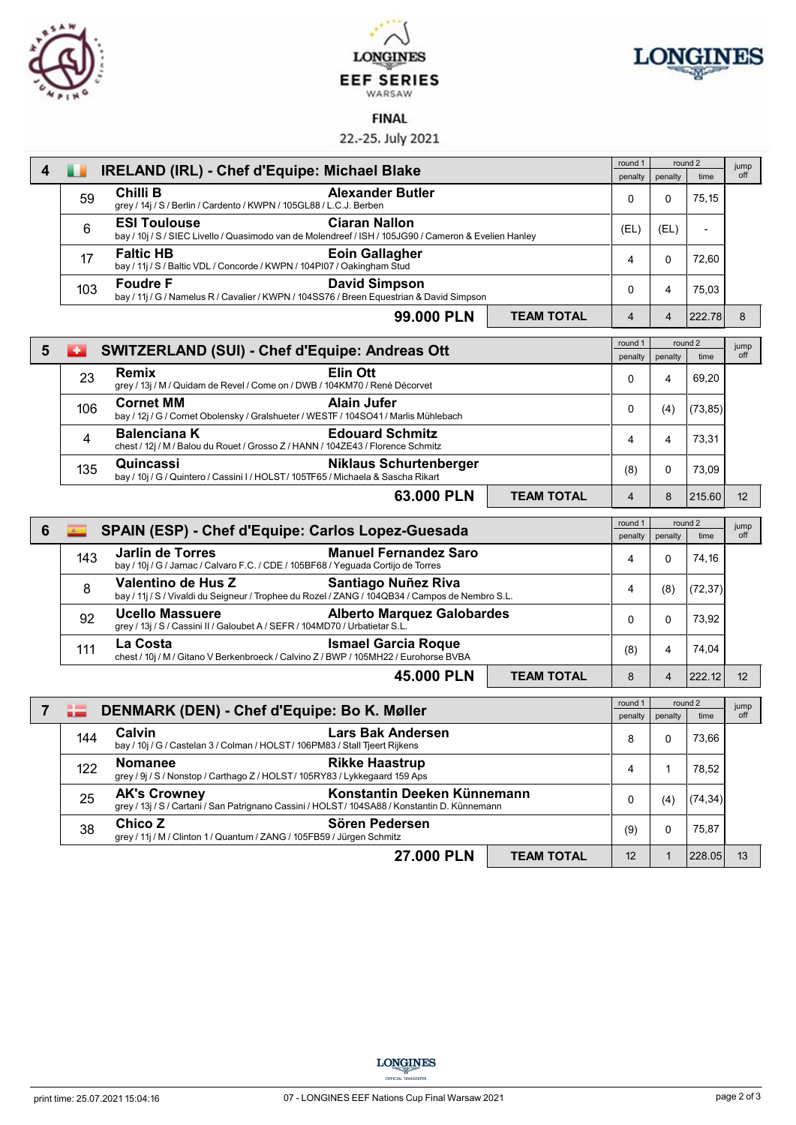

| <b>LONGINES</b>   |
|-------------------|
| <b>EEF SERIES</b> |
| ARSAW             |



**FINAL** 

22 .- 25. July 2021

| 4              |           | <b>IRELAND (IRL) - Chef d'Equipe: Michael Blake</b>                                                                                                                                               |                   | round 1<br>penalty | penalty      | round 2<br>time | jump<br>off |
|----------------|-----------|---------------------------------------------------------------------------------------------------------------------------------------------------------------------------------------------------|-------------------|--------------------|--------------|-----------------|-------------|
|                | 59        | Chilli B<br><b>Alexander Butler</b><br>grey / 14j / S / Berlin / Cardento / KWPN / 105GL88 / L.C.J. Berben                                                                                        |                   | 0                  | 0            | 75,15           |             |
|                | 6         | <b>ESI Toulouse</b><br><b>Ciaran Nallon</b><br>bay / 10j / S / SIEC Livello / Quasimodo van de Molendreef / ISH / 105JG90 / Cameron & Evelien Hanley                                              |                   | (EL)               | (EL)         |                 |             |
|                | 17        | <b>Eoin Gallagher</b><br><b>Faltic HB</b><br>bay / 11j / S / Baltic VDL / Concorde / KWPN / 104PI07 / Oakingham Stud                                                                              |                   | 4                  | 0            | 72,60           |             |
|                | 103       | <b>Foudre F</b><br><b>David Simpson</b><br>bay / 11j / G / Namelus R / Cavalier / KWPN / 104SS76 / Breen Equestrian & David Simpson                                                               |                   | $\Omega$           | 4            | 75,03           |             |
|                |           | 99.000 PLN                                                                                                                                                                                        | <b>TEAM TOTAL</b> | 4                  | 4            | 222.78          | 8           |
| $5\phantom{1}$ | $\bullet$ | SWITZERLAND (SUI) - Chef d'Equipe: Andreas Ott                                                                                                                                                    |                   | round 1            |              | round 2         | jump        |
|                |           |                                                                                                                                                                                                   |                   | penalty            | penalty      | time            | off         |
|                | 23        | Remix<br><b>Elin Ott</b><br>grey / 13j / M / Quidam de Revel / Come on / DWB / 104KM70 / René Décorvet                                                                                            |                   | 0                  | 4            | 69,20           |             |
|                | 106       | <b>Cornet MM</b><br><b>Alain Jufer</b><br>bay / 12j / G / Cornet Obolensky / Gralshueter / WESTF / 104SO41 / Marlis Mühlebach                                                                     |                   | 0                  | (4)          | (73, 85)        |             |
|                | 4         | <b>Balenciana K</b><br><b>Edouard Schmitz</b><br>chest / 12j / M / Balou du Rouet / Grosso Z / HANN / 104ZE43 / Florence Schmitz                                                                  |                   | 4                  | 4            | 73,31           |             |
|                | 135       | Quincassi<br><b>Niklaus Schurtenberger</b><br>bay / 10j / G / Quintero / Cassini I / HOLST / 105TF65 / Michaela & Sascha Rikart                                                                   |                   | (8)                | 0            | 73,09           |             |
|                |           | 63.000 PLN                                                                                                                                                                                        | <b>TEAM TOTAL</b> | $\overline{4}$     | 8            | 215.60          | 12          |
|                |           |                                                                                                                                                                                                   |                   |                    |              |                 |             |
| 6              |           |                                                                                                                                                                                                   |                   | round 1            |              | round 2         | jump        |
|                | 143       | SPAIN (ESP) - Chef d'Equipe: Carlos Lopez-Guesada<br><b>Jarlin de Torres</b><br><b>Manuel Fernandez Saro</b><br>bay / 10j / G / Jarnac / Calvaro F.C. / CDE / 105BF68 / Yeguada Cortijo de Torres |                   | penalty<br>4       | penalty<br>0 | time<br>74,16   | off         |
|                | 8         | Valentino de Hus Z<br><b>Santiago Nuñez Riva</b><br>bay / 11j / S / Vivaldi du Seigneur / Trophee du Rozel / ZANG / 104QB34 / Campos de Nembro S.L.                                               |                   | 4                  | (8)          | (72, 37)        |             |
|                | 92        | <b>Ucello Massuere</b><br><b>Alberto Marquez Galobardes</b><br>grey / 13j / S / Cassini II / Galoubet A / SEFR / 104MD70 / Urbatietar S.L.                                                        |                   | $\Omega$           | 0            | 73,92           |             |
|                | 111       | La Costa<br><b>Ismael Garcia Roque</b><br>chest / 10j / M / Gitano V Berkenbroeck / Calvino Z / BWP / 105MH22 / Eurohorse BVBA                                                                    |                   | (8)                | 4            | 74,04           |             |
|                |           | 45,000 PLN                                                                                                                                                                                        | <b>TEAM TOTAL</b> | 8                  | 4            | 222.12          | 12          |
| $\overline{7}$ | 52        | DENMARK (DEN) - Chef d'Equipe: Bo K. Møller                                                                                                                                                       |                   | round 1<br>penalty | penalty      | round 2<br>time | jump<br>off |
|                | 144       | Calvin<br><b>Lars Bak Andersen</b><br>bay / 10j / G / Castelan 3 / Colman / HOLST / 106PM83 / Stall Tjeert Rijkens                                                                                |                   | 8                  | 0            | 73,66           |             |
|                | 122       | <b>Rikke Haastrup</b><br><b>Nomanee</b><br>grey / 9j / S / Nonstop / Carthago Z / HOLST / 105RY83 / Lykkegaard 159 Aps                                                                            |                   | 4                  | $\mathbf{1}$ | 78,52           |             |
|                | 25        | Konstantin Deeken Künnemann<br><b>AK's Crowney</b><br>grey / 13j / S / Cartani / San Patrignano Cassini / HOLST/ 104SA88 / Konstantin D. Künnemann                                                |                   | 0                  | (4)          | (74, 34)        |             |
|                | 38        | Sören Pedersen<br>Chico Z<br>grey / 11j / M / Clinton 1 / Quantum / ZANG / 105FB59 / Jürgen Schmitz                                                                                               |                   | (9)                | 0            | 75,87           |             |